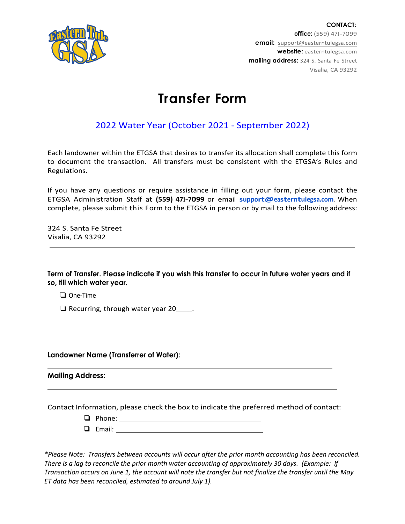

**CONTACT: office:** (559) 471-7099 **email:** support[@easterntulegsa.com](mailto:support@easterntulegsa.com) **website:** easterntulegsa.com **mailing address:** 324 S. Santa Fe Street Visalia, CA 93292

## **Transfer Form**

## 2022 Water Year (October 2021 - September 2022)

Each landowner within the ETGSA that desires to transfer its allocation shall complete this form to document the transaction. All transfers must be consistent with the ETGSA's Rules and Regulations.

If you have any questions or require assistance in filling out your form, please contact the ETGSA Administration Staff at **(559) 471-7099** or email **[support@easterntulegsa.com](mailto:support@easterntulegsa.com)**. When complete, please submit this Form to the ETGSA in person or by mail to the following address:

324 S. Santa Fe Street Visalia, CA 93292

**Term of Transfer. Please indicate if you wish this transfer to occur in future water years and if so, till which water year.** 

❏ One-Time

❏ Recurring, through water year 20\_\_\_\_.

**Landowner Name (Transferrer of Water):**

**Mailing Address:**

Contact Information, please check the box to indicate the preferred method of contact:

- ❏ Phone:
- ❏ Email:

*\*Please Note: Transfers between accounts will occur after the prior month accounting has been reconciled. There is a lag to reconcile the prior month water accounting of approximately 30 days. (Example: If Transaction occurs on June 1, the account will note the transfer but not finalize the transfer until the May ET data has been reconciled, estimated to around July 1).*